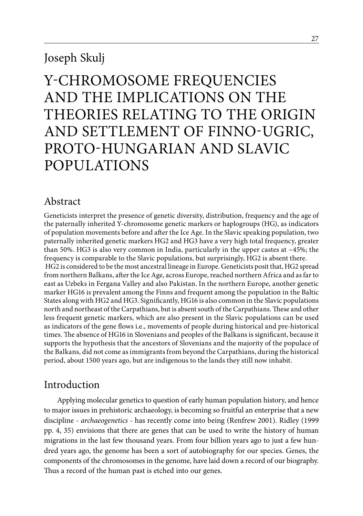# Joseph Skulj

# Y-chromosome Frequencies and the Implications on the Theories Relating to the Origin and Settlement of Finno-Ugric, Proto-Hungarian and Slavic **POPULATIONS**

# Abstract

Geneticists interpret the presence of genetic diversity, distribution, frequency and the age of the paternally inherited Y-chromosome genetic markers or haplogroups (HG), as indicators of population movements before and after the Ice Age. In the Slavic speaking population, two paternally inherited genetic markers HG2 and HG3 have a very high total frequency, greater than 50%. HG3 is also very common in India, particularly in the upper castes at  $\sim$ 45%; the frequency is comparable to the Slavic populations, but surprisingly, HG2 is absent there. HG2 is considered to be the most ancestral lineage in Europe. Geneticists posit that, HG2 spread from northern Balkans, after the Ice Age, across Europe, reached northern Africa and as far to east as Uzbeks in Fergana Valley and also Pakistan. In the northern Europe, another genetic marker HG16 is prevalent among the Finns and frequent among the population in the Baltic States along with HG2 and HG3. Significantly, HG16 is also common in the Slavic populations north and northeast of the Carpathians, but is absent south of the Carpathians. These and other less frequent genetic markers, which are also present in the Slavic populations can be used as indicators of the gene flows i.e., movements of people during historical and pre-historical times. The absence of HG16 in Slovenians and peoples of the Balkans is significant, because it supports the hypothesis that the ancestors of Slovenians and the majority of the populace of the Balkans, did not come as immigrants from beyond the Carpathians, during the historical period, about 1500 years ago, but are indigenous to the lands they still now inhabit.

# Introduction

Applying molecular genetics to question of early human population history, and hence to major issues in prehistoric archaeology, is becoming so fruitful an enterprise that a new discipline - *archaeogenetics* - has recently come into being (Renfrew 2001). Ridley (1999 pp. 4, 35) envisions that there are genes that can be used to write the history of human migrations in the last few thousand years. From four billion years ago to just a few hundred years ago, the genome has been a sort of autobiography for our species. Genes, the components of the chromosomes in the genome, have laid down a record of our biography. Thus a record of the human past is etched into our genes.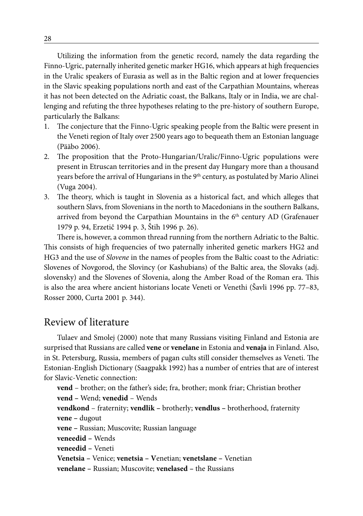Utilizing the information from the genetic record, namely the data regarding the Finno-Ugric, paternally inherited genetic marker HG16, which appears at high frequencies in the Uralic speakers of Eurasia as well as in the Baltic region and at lower frequencies in the Slavic speaking populations north and east of the Carpathian Mountains, whereas it has not been detected on the Adriatic coast, the Balkans, Italy or in India, we are challenging and refuting the three hypotheses relating to the pre-history of southern Europe, particularly the Balkans:

- 1. The conjecture that the Finno-Ugric speaking people from the Baltic were present in the Veneti region of Italy over 2500 years ago to bequeath them an Estonian language (Pääbo 2006).
- 2. The proposition that the Proto-Hungarian/Uralic/Finno-Ugric populations were present in Etruscan territories and in the present day Hungary more than a thousand years before the arrival of Hungarians in the 9<sup>th</sup> century, as postulated by Mario Alinei (Vuga 2004).
- 3. The theory, which is taught in Slovenia as a historical fact, and which alleges that southern Slavs, from Slovenians in the north to Macedonians in the southern Balkans, arrived from beyond the Carpathian Mountains in the 6<sup>th</sup> century AD (Grafenauer 1979 p. 94, Erzetič 1994 p. 3, Štih 1996 p. 26).

There is, however, a common thread running from the northern Adriatic to the Baltic. This consists of high frequencies of two paternally inherited genetic markers HG2 and HG3 and the use of *Slovene* in the names of peoples from the Baltic coast to the Adriatic: Slovenes of Novgorod, the Slovincy (or Kashubians) of the Baltic area, the Slovaks (adj. slovensky) and the Slovenes of Slovenia, along the Amber Road of the Roman era. This is also the area where ancient historians locate Veneti or Venethi (Šavli 1996 pp. 77–83, Rosser 2000, Curta 2001 p. 344).

# Review of literature

Tulaev and Smolej (2000) note that many Russians visiting Finland and Estonia are surprised that Russians are called **vene** or **venelane** in Estonia and **venaja** in Finland. Also, in St. Petersburg, Russia, members of pagan cults still consider themselves as Veneti. The Estonian-English Dictionary (Saagpakk 1992) has a number of entries that are of interest for Slavic-Venetic connection:

**vend** – brother; on the father's side; fra, brother; monk friar; Christian brother **vend –** Wend; **venedid** – Wends **vendkond** – fraternity; **vendlik –** brotherly; **vendlus –** brotherhood, fraternity **vene –** dugout **vene –** Russian; Muscovite; Russian language **veneedid –** Wends **veneedid –** Veneti **Venetsia –** Venice; **venetsia – V**enetian; **venetslane –** Venetian **venelane –** Russian; Muscovite; **venelased –** the Russians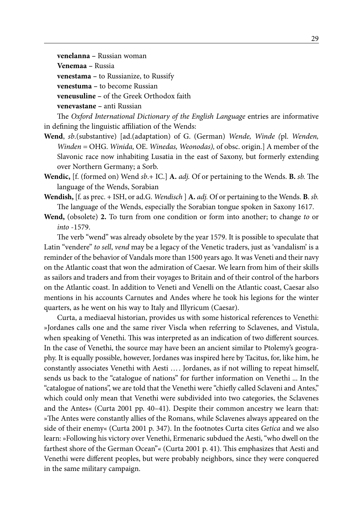**venelanna –** Russian woman **Venemaa –** Russia **venestama –** to Russianize, to Russify **venestuma –** to become Russian **veneusuline –** of the Greek Orthodox faith **venevastane –** anti Russian

The *Oxford International Dictionary of the English Language* entries are informative in defining the linguistic affiliation of the Wends:

- **Wend**, *sb*.(substantive) [ad.(adaptation) of G. (German) *Wende, Winde (*pl. *Wenden, Winden =* OHG. *Winida,* OE. *Winedas, Weonodas),* of obsc. origin.] A member of the Slavonic race now inhabiting Lusatia in the east of Saxony, but formerly extending over Northern Germany; a Sorb.
- **Wendic,** [f. (formed on) Wend *sb*.+ IC.] **A.** *adj.* Of or pertaining to the Wends. **B.** *sb.* The language of the Wends, Sorabian
- **Wendish,** [f. as prec. + ISH, or ad.G. *Wendisch* ] **A.** *adj.* Of or pertaining to the Wends. **B**. *sb.*  The language of the Wends, especially the Sorabian tongue spoken in Saxony 1617.
- **Wend,** (obsolete) **2.** To turn from one condition or form into another; to change *to* or *into* -1579.

The verb "wend" was already obsolete by the year 1579. It is possible to speculate that Latin "vendere" *to sell*, *vend* may be a legacy of the Venetic traders, just as 'vandalism' is a reminder of the behavior of Vandals more than 1500 years ago. It was Veneti and their navy on the Atlantic coast that won the admiration of Caesar. We learn from him of their skills as sailors and traders and from their voyages to Britain and of their control of the harbors on the Atlantic coast. In addition to Veneti and Venelli on the Atlantic coast, Caesar also mentions in his accounts Carnutes and Andes where he took his legions for the winter quarters, as he went on his way to Italy and Illyricum (Caesar).

Curta, a mediaeval historian, provides us with some historical references to Venethi: »Jordanes calls one and the same river Viscla when referring to Sclavenes, and Vistula, when speaking of Venethi. This was interpreted as an indication of two different sources. In the case of Venethi, the source may have been an ancient similar to Ptolemy's geography. It is equally possible, however, Jordanes was inspired here by Tacitus, for, like him, he constantly associates Venethi with Aesti …. Jordanes, as if not willing to repeat himself, sends us back to the "catalogue of nations" for further information on Venethi ... In the "catalogue of nations", we are told that the Venethi were "chiefly called Sclaveni and Antes," which could only mean that Venethi were subdivided into two categories, the Sclavenes and the Antes« (Curta 2001 pp. 40–41). Despite their common ancestry we learn that: »The Antes were constantly allies of the Romans, while Sclavenes always appeared on the side of their enemy« (Curta 2001 p. 347). In the footnotes Curta cites *Getica* and we also learn: »Following his victory over Venethi, Ermenaric subdued the Aesti, "who dwell on the farthest shore of the German Ocean"« (Curta 2001 p. 41). This emphasizes that Aesti and Venethi were different peoples, but were probably neighbors, since they were conquered in the same military campaign.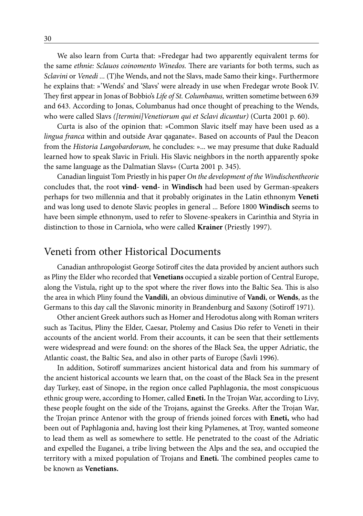We also learn from Curta that: »Fredegar had two apparently equivalent terms for the same *ethnie: Sclauos coinomento Winedos.* There are variants for both terms, such as *Sclavini* or *Venedi ...* (T)he Wends, and not the Slavs, made Samo their king«. Furthermore he explains that: »'Wends' and 'Slavs' were already in use when Fredegar wrote Book IV. They first appear in Jonas of Bobbio's *Life of St. Columbanus,* written sometime between 639 and 643. According to Jonas, Columbanus had once thought of preaching to the Wends, who were called Slavs *([termini]Venetiorum qui et Sclavi dicuntur)* (Curta 2001 p. 60).

Curta is also of the opinion that: »Common Slavic itself may have been used as a *lingua franca* within and outside Avar qaganate«. Based on accounts of Paul the Deacon from the *Historia Langobardorum,* he concludes: »... we may presume that duke Raduald learned how to speak Slavic in Friuli. His Slavic neighbors in the north apparently spoke the same language as the Dalmatian Slavs« (Curta 2001 p. 345).

Canadian linguist Tom Priestly in his paper *On the development of the Windischentheorie* concludes that, the root **vind- vend-** in **Windisch** had been used by German-speakers perhaps for two millennia and that it probably originates in the Latin ethnonym **Veneti** and was long used to denote Slavic peoples in general ... Before 1800 **Windisch** seems to have been simple ethnonym, used to refer to Slovene-speakers in Carinthia and Styria in distinction to those in Carniola, who were called **Krainer** (Priestly 1997).

### Veneti from other Historical Documents

Canadian anthropologist George Sotiroff cites the data provided by ancient authors such as Pliny the Elder who recorded that **Venetians** occupied a sizable portion of Central Europe, along the Vistula, right up to the spot where the river flows into the Baltic Sea. This is also the area in which Pliny found the **Vandili**, an obvious diminutive of **Vandi**, or **Wends**, as the Germans to this day call the Slavonic minority in Brandenburg and Saxony (Sotiroff 1971).

Other ancient Greek authors such as Homer and Herodotus along with Roman writers such as Tacitus, Pliny the Elder, Caesar, Ptolemy and Casius Dio refer to Veneti in their accounts of the ancient world. From their accounts, it can be seen that their settlements were widespread and were found: on the shores of the Black Sea, the upper Adriatic, the Atlantic coast, the Baltic Sea, and also in other parts of Europe (Šavli 1996).

In addition, Sotiroff summarizes ancient historical data and from his summary of the ancient historical accounts we learn that, on the coast of the Black Sea in the present day Turkey, east of Sinope, in the region once called Paphlagonia, the most conspicuous ethnic group were, according to Homer, called **Eneti.** In the Trojan War, according to Livy, these people fought on the side of the Trojans, against the Greeks. After the Trojan War, the Trojan prince Antenor with the group of friends joined forces with **Eneti,** who had been out of Paphlagonia and, having lost their king Pylamenes, at Troy, wanted someone to lead them as well as somewhere to settle. He penetrated to the coast of the Adriatic and expelled the Euganei, a tribe living between the Alps and the sea, and occupied the territory with a mixed population of Trojans and **Eneti.** The combined peoples came to be known as **Venetians.**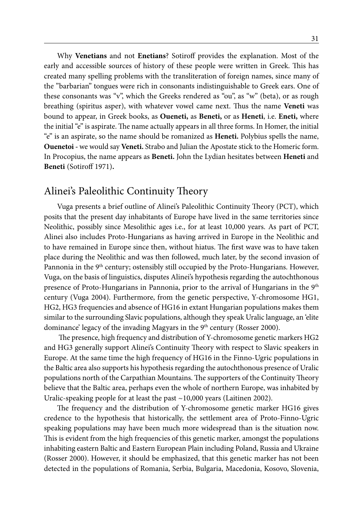Why **Venetians** and not **Enetians**? Sotiroff provides the explanation. Most of the early and accessible sources of history of these people were written in Greek. This has created many spelling problems with the transliteration of foreign names, since many of the "barbarian" tongues were rich in consonants indistinguishable to Greek ears. One of these consonants was "v", which the Greeks rendered as "ou", as "w" (beta), or as rough breathing (spiritus asper), with whatever vowel came next. Thus the name **Veneti** was bound to appear, in Greek books, as **Oueneti,** as **Beneti,** or as **Heneti**, i.e. **Eneti,** where the initial "e" is aspirate. The name actually appears in all three forms. In Homer, the initial "e" is an aspirate, so the name should be romanized as **Heneti.** Polybius spells the name, **Ouenetoi -** we would say **Veneti.** Strabo and Julian the Apostate stick to the Homeric form. In Procopius, the name appears as **Beneti.** John the Lydian hesitates between **Heneti** and **Beneti** (Sotiroff 1971)**.**

# Alinei's Paleolithic Continuity Theory

Vuga presents a brief outline of Alinei's Paleolithic Continuity Theory (PCT), which posits that the present day inhabitants of Europe have lived in the same territories since Neolithic, possibly since Mesolithic ages i.e., for at least 10,000 years. As part of PCT, Alinei also includes Proto-Hungarians as having arrived in Europe in the Neolithic and to have remained in Europe since then, without hiatus. The first wave was to have taken place during the Neolithic and was then followed, much later, by the second invasion of Pannonia in the 9<sup>th</sup> century; ostensibly still occupied by the Proto-Hungarians. However, Vuga, on the basis of linguistics, disputes Alinei's hypothesis regarding the autochthonous presence of Proto-Hungarians in Pannonia, prior to the arrival of Hungarians in the 9th century (Vuga 2004). Furthermore, from the genetic perspective, Y-chromosome HG1, HG2, HG3 frequencies and absence of HG16 in extant Hungarian populations makes them similar to the surrounding Slavic populations, although they speak Uralic language, an 'elite dominance' legacy of the invading Magyars in the 9<sup>th</sup> century (Rosser 2000).

 The presence, high frequency and distribution of Y-chromosome genetic markers HG2 and HG3 generally support Alinei's Continuity Theory with respect to Slavic speakers in Europe. At the same time the high frequency of HG16 in the Finno-Ugric populations in the Baltic area also supports his hypothesis regarding the autochthonous presence of Uralic populations north of the Carpathian Mountains. The supporters of the Continuity Theory believe that the Baltic area, perhaps even the whole of northern Europe, was inhabited by Uralic-speaking people for at least the past ~10,000 years (Laitinen 2002).

The frequency and the distribution of Y-chromosome genetic marker HG16 gives credence to the hypothesis that historically, the settlement area of Proto-Finno-Ugric speaking populations may have been much more widespread than is the situation now. This is evident from the high frequencies of this genetic marker, amongst the populations inhabiting eastern Baltic and Eastern European Plain including Poland, Russia and Ukraine (Rosser 2000). However, it should be emphasized, that this genetic marker has not been detected in the populations of Romania, Serbia, Bulgaria, Macedonia, Kosovo, Slovenia,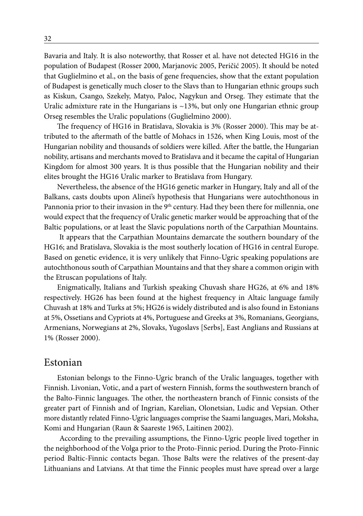Bavaria and Italy. It is also noteworthy, that Rosser et al. have not detected HG16 in the population of Budapest (Rosser 2000, Marjanovic 2005, Peričić 2005). It should be noted that Guglielmino et al., on the basis of gene frequencies, show that the extant population of Budapest is genetically much closer to the Slavs than to Hungarian ethnic groups such as Kiskun, Csango, Szekely, Matyo, Paloc, Nagykun and Orseg. They estimate that the Uralic admixture rate in the Hungarians is  $\sim$ 13%, but only one Hungarian ethnic group Orseg resembles the Uralic populations (Guglielmino 2000).

The frequency of HG16 in Bratislava, Slovakia is 3% (Rosser 2000). This may be attributed to the aftermath of the battle of Mohacs in 1526, when King Louis, most of the Hungarian nobility and thousands of soldiers were killed. After the battle, the Hungarian nobility, artisans and merchants moved to Bratislava and it became the capital of Hungarian Kingdom for almost 300 years. It is thus possible that the Hungarian nobility and their elites brought the HG16 Uralic marker to Bratislava from Hungary.

Nevertheless, the absence of the HG16 genetic marker in Hungary, Italy and all of the Balkans, casts doubts upon Alinei's hypothesis that Hungarians were autochthonous in Pannonia prior to their invasion in the 9<sup>th</sup> century. Had they been there for millennia, one would expect that the frequency of Uralic genetic marker would be approaching that of the Baltic populations, or at least the Slavic populations north of the Carpathian Mountains.

 It appears that the Carpathian Mountains demarcate the southern boundary of the HG16; and Bratislava, Slovakia is the most southerly location of HG16 in central Europe. Based on genetic evidence, it is very unlikely that Finno-Ugric speaking populations are autochthonous south of Carpathian Mountains and that they share a common origin with the Etruscan populations of Italy.

Enigmatically, Italians and Turkish speaking Chuvash share HG26, at 6% and 18% respectively. HG26 has been found at the highest frequency in Altaic language family Chuvash at 18% and Turks at 5%; HG26 is widely distributed and is also found in Estonians at 5%, Ossetians and Cypriots at 4%, Portuguese and Greeks at 3%, Romanians, Georgians, Armenians, Norwegians at 2%, Slovaks, Yugoslavs [Serbs], East Anglians and Russians at 1% (Rosser 2000).

### Estonian

Estonian belongs to the Finno-Ugric branch of the Uralic languages, together with Finnish. Livonian, Votic, and a part of western Finnish, forms the southwestern branch of the Balto-Finnic languages. The other, the northeastern branch of Finnic consists of the greater part of Finnish and of Ingrian, Karelian, Olonetsian, Ludic and Vepsian. Other more distantly related Finno-Ugric languages comprise the Saami languages, Mari, Moksha, Komi and Hungarian (Raun & Saareste 1965, Laitinen 2002).

 According to the prevailing assumptions, the Finno-Ugric people lived together in the neighborhood of the Volga prior to the Proto-Finnic period. During the Proto-Finnic period Baltic-Finnic contacts began. Those Balts were the relatives of the present-day Lithuanians and Latvians. At that time the Finnic peoples must have spread over a large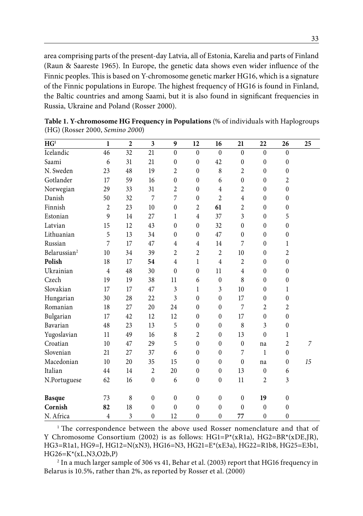area comprising parts of the present-day Latvia, all of Estonia, Karelia and parts of Finland (Raun & Saareste 1965). In Europe, the genetic data shows even wider influence of the Finnic peoples. This is based on Y-chromosome genetic marker HG16, which is a signature of the Finnic populations in Europe. The highest frequency of HG16 is found in Finland, the Baltic countries and among Saami, but it is also found in significant frequencies in Russia, Ukraine and Poland (Rosser 2000).

| HG <sup>1</sup>          | 1              | $\mathbf{2}$ | 3                | 9              | 12               | 16               | 21               | 22               | 26                      | 25 |
|--------------------------|----------------|--------------|------------------|----------------|------------------|------------------|------------------|------------------|-------------------------|----|
| Icelandic                | $46\,$         | 32           | 21               | $\theta$       | $\theta$         | $\theta$         | $\theta$         | $\theta$         | $\theta$                |    |
| Saami                    | 6              | 31           | 21               | $\mathbf{0}$   | $\mathbf{0}$     | 42               | $\mathbf{0}$     | $\mathbf{0}$     | $\boldsymbol{0}$        |    |
| N. Sweden                | 23             | 48           | 19               | $\overline{2}$ | $\boldsymbol{0}$ | 8                | $\overline{2}$   | $\boldsymbol{0}$ | $\boldsymbol{0}$        |    |
| Gotlander                | 17             | 59           | 16               | $\mathbf{0}$   | $\boldsymbol{0}$ | 6                | $\mathbf{0}$     | $\mathbf{0}$     | 2                       |    |
| Norwegian                | 29             | 33           | 31               | $\overline{2}$ | $\theta$         | $\overline{4}$   | $\overline{2}$   | $\mathbf{0}$     | $\boldsymbol{0}$        |    |
| Danish                   | 50             | 32           | 7                | 7              | $\mathbf{0}$     | $\overline{2}$   | $\overline{4}$   | $\boldsymbol{0}$ | $\boldsymbol{0}$        |    |
| Finnish                  | $\overline{c}$ | 23           | 10               | $\mathbf{0}$   | $\overline{2}$   | 61               | $\overline{2}$   | $\mathbf{0}$     | $\boldsymbol{0}$        |    |
| Estonian                 | 9              | 14           | 27               | $\mathbf{1}$   | $\overline{4}$   | 37               | 3                | $\boldsymbol{0}$ | 5                       |    |
| Latvian                  | 15             | 12           | 43               | $\theta$       | $\boldsymbol{0}$ | 32               | $\mathbf{0}$     | $\mathbf{0}$     | $\boldsymbol{0}$        |    |
| Lithuanian               | 5              | 13           | 34               | $\theta$       | $\mathbf{0}$     | 47               | $\mathbf{0}$     | $\boldsymbol{0}$ | $\boldsymbol{0}$        |    |
| Russian                  | 7              | 17           | 47               | $\overline{4}$ | $\overline{4}$   | 14               | 7                | $\mathbf{0}$     | 1                       |    |
| Belarussian <sup>2</sup> | 10             | 34           | 39               | $\overline{2}$ | $\overline{2}$   | $\overline{2}$   | 10               | $\mathbf{0}$     | $\overline{c}$          |    |
| Polish                   | 18             | 17           | 54               | $\overline{4}$ | 1                | $\overline{4}$   | $\overline{2}$   | $\boldsymbol{0}$ | $\boldsymbol{0}$        |    |
| Ukrainian                | $\overline{4}$ | 48           | 30               | $\theta$       | $\theta$         | 11               | $\overline{4}$   | $\mathbf{0}$     | $\mathbf{0}$            |    |
| Czech                    | 19             | 19           | 38               | 11             | 6                | $\mathbf{0}$     | 8                | $\mathbf{0}$     | $\boldsymbol{0}$        |    |
| Slovakian                | 17             | 17           | 47               | 3              | 1                | 3                | 10               | $\mathbf{0}$     | 1                       |    |
| Hungarian                | 30             | 28           | 22               | 3              | $\mathbf{0}$     | $\mathbf{0}$     | 17               | $\mathbf{0}$     | $\boldsymbol{0}$        |    |
| Romanian                 | 18             | 27           | 20               | 24             | $\mathbf{0}$     | $\mathbf{0}$     | 7                | 2                | $\overline{\mathbf{c}}$ |    |
| Bulgarian                | 17             | 42           | 12               | 12             | $\mathbf{0}$     | $\mathbf{0}$     | 17               | $\boldsymbol{0}$ | $\boldsymbol{0}$        |    |
| Bavarian                 | 48             | 23           | 13               | 5              | $\theta$         | $\mathbf{0}$     | 8                | 3                | $\boldsymbol{0}$        |    |
| Yugoslavian              | 11             | 49           | 16               | 8              | $\overline{2}$   | $\mathbf{0}$     | 13               | $\mathbf{0}$     | 1                       |    |
| Croatian                 | 10             | 47           | 29               | 5              | $\mathbf{0}$     | $\mathbf{0}$     | $\boldsymbol{0}$ | na               | 2                       | 7  |
| Slovenian                | 21             | 27           | 37               | 6              | $\boldsymbol{0}$ | $\mathbf{0}$     | 7                | $\mathbf{1}$     | $\mathbf{0}$            |    |
| Macedonian               | 10             | 20           | 35               | 15             | $\theta$         | $\mathbf{0}$     | $\mathbf{0}$     | na               | $\boldsymbol{0}$        | 15 |
| Italian                  | 44             | 14           | 2                | 20             | $\theta$         | $\boldsymbol{0}$ | 13               | $\boldsymbol{0}$ | 6                       |    |
| N.Portuguese             | 62             | 16           | $\mathbf{0}$     | 6              | $\mathbf{0}$     | $\boldsymbol{0}$ | 11               | $\overline{2}$   | 3                       |    |
| <b>Basque</b>            | 73             | 8            | $\boldsymbol{0}$ | $\mathbf{0}$   | $\boldsymbol{0}$ | $\boldsymbol{0}$ | $\boldsymbol{0}$ | 19               | $\boldsymbol{0}$        |    |
| Cornish                  | 82             | 18           | $\theta$         | $\theta$       | $\theta$         | $\theta$         | $\theta$         | $\mathbf{0}$     | $\boldsymbol{0}$        |    |
| N. Africa                | 4              | 3            | $\mathbf{0}$     | 12             | $\mathbf{0}$     | $\boldsymbol{0}$ | 77               | $\boldsymbol{0}$ | $\boldsymbol{0}$        |    |

**Table 1. Y-chromosome HG Frequency in Populations** (% of individuals with Haplogroups (HG) (Rosser 2000, *Semino 2000*)

 $1$ <sup>1</sup> The correspondence between the above used Rosser nomenclature and that of Y Chromosome Consortium (2002) is as follows:  $HGI = P^*(xR1a)$ ,  $HG2 = BR^*(xDE, JR)$ , HG3=R1a1, HG9=J, HG12=N(xN3), HG16=N3, HG21=E\*(xE3a), HG22=R1b8, HG25=E3b1, HG26=K\*(xL,N3,O2b,P)

 $^{\rm 2}$  In a much larger sample of 306 vs 41, Behar et al. (2003) report that HG16 frequency in Belarus is 10.5%, rather than 2%, as reported by Rosser et al. (2000)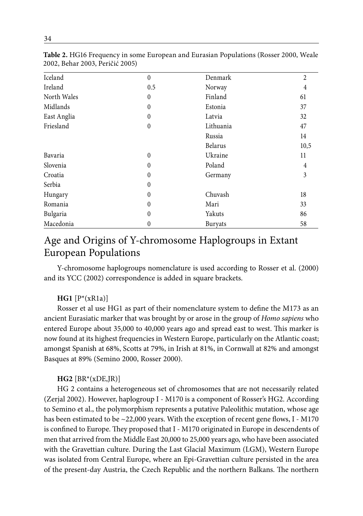| Iceland     | $\theta$     | Denmark   | $\overline{2}$ |
|-------------|--------------|-----------|----------------|
| Ireland     | 0.5          | Norway    | 4              |
| North Wales | $\theta$     | Finland   | 61             |
| Midlands    | $\theta$     | Estonia   | 37             |
| East Anglia | $\theta$     | Latvia    | 32             |
| Friesland   | $\theta$     | Lithuania | 47             |
|             |              | Russia    | 14             |
|             |              | Belarus   | 10,5           |
| Bavaria     | $\theta$     | Ukraine   | 11             |
| Slovenia    | $\theta$     | Poland    | 4              |
| Croatia     | $\theta$     | Germany   | 3              |
| Serbia      | $\theta$     |           |                |
| Hungary     | $\theta$     | Chuvash   | 18             |
| Romania     | $\theta$     | Mari      | 33             |
| Bulgaria    | $\theta$     | Yakuts    | 86             |
| Macedonia   | $\mathbf{0}$ | Buryats   | 58             |
|             |              |           |                |

**Table 2.** HG16 Frequency in some European and Eurasian Populations (Rosser 2000, Weale 2002, Behar 2003, Peričić 2005)

# Age and Origins of Y-chromosome Haplogroups in Extant European Populations

Y-chromosome haplogroups nomenclature is used according to Rosser et al. (2000) and its YCC (2002) correspondence is added in square brackets.

### **HG1** [P\*(xR1a)]

Rosser et al use HG1 as part of their nomenclature system to define the M173 as an ancient Eurasiatic marker that was brought by or arose in the group of *Homo sapiens* who entered Europe about 35,000 to 40,000 years ago and spread east to west. This marker is now found at its highest frequencies in Western Europe, particularly on the Atlantic coast; amongst Spanish at 68%, Scotts at 79%, in Irish at 81%, in Cornwall at 82% and amongst Basques at 89% (Semino 2000, Rosser 2000).

#### **HG2** [BR\*(xDE,JR)]

HG 2 contains a heterogeneous set of chromosomes that are not necessarily related (Zerjal 2002). However, haplogroup I - M170 is a component of Rosser's HG2. According to Semino et al., the polymorphism represents a putative Paleolithic mutation, whose age has been estimated to be  $\sim$  22,000 years. With the exception of recent gene flows, I - M170 is confined to Europe. They proposed that I - M170 originated in Europe in descendents of men that arrived from the Middle East 20,000 to 25,000 years ago, who have been associated with the Gravettian culture. During the Last Glacial Maximum (LGM), Western Europe was isolated from Central Europe, where an Epi-Gravettian culture persisted in the area of the present-day Austria, the Czech Republic and the northern Balkans. The northern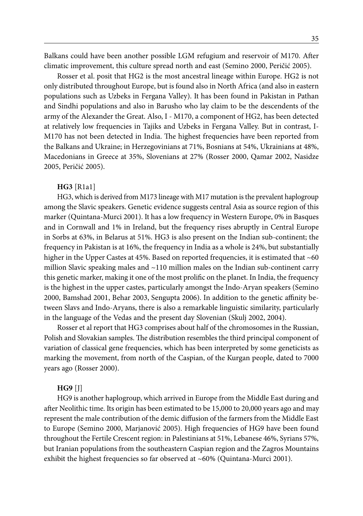Balkans could have been another possible LGM refugium and reservoir of M170. After climatic improvement, this culture spread north and east (Semino 2000, Peričić 2005).

Rosser et al. posit that HG2 is the most ancestral lineage within Europe. HG2 is not only distributed throughout Europe, but is found also in North Africa (and also in eastern populations such as Uzbeks in Fergana Valley). It has been found in Pakistan in Pathan and Sindhi populations and also in Barusho who lay claim to be the descendents of the army of the Alexander the Great. Also, I - M170, a component of HG2, has been detected at relatively low frequencies in Tajiks and Uzbeks in Fergana Valley. But in contrast, I-M170 has not been detected in India. The highest frequencies have been reported from the Balkans and Ukraine; in Herzegovinians at 71%, Bosnians at 54%, Ukrainians at 48%, Macedonians in Greece at 35%, Slovenians at 27% (Rosser 2000, Qamar 2002, Nasidze 2005, Peričić 2005).

#### **HG3** [R1a1]

HG3, which is derived from M173 lineage with M17 mutation is the prevalent haplogroup among the Slavic speakers. Genetic evidence suggests central Asia as source region of this marker (Quintana-Murci 2001). It has a low frequency in Western Europe, 0% in Basques and in Cornwall and 1% in Ireland, but the frequency rises abruptly in Central Europe in Sorbs at 63%, in Belarus at 51%. HG3 is also present on the Indian sub-continent; the frequency in Pakistan is at 16%, the frequency in India as a whole is 24%, but substantially higher in the Upper Castes at 45%. Based on reported frequencies, it is estimated that  $\sim$  60 million Slavic speaking males and  $\sim$ 110 million males on the Indian sub-continent carry this genetic marker, making it one of the most prolific on the planet. In India, the frequency is the highest in the upper castes, particularly amongst the Indo-Aryan speakers (Semino 2000, Bamshad 2001, Behar 2003, Sengupta 2006). In addition to the genetic affinity between Slavs and Indo-Aryans, there is also a remarkable linguistic similarity, particularly in the language of the Vedas and the present day Slovenian (Skulj 2002, 2004).

Rosser et al report that HG3 comprises about half of the chromosomes in the Russian, Polish and Slovakian samples. The distribution resembles the third principal component of variation of classical gene frequencies, which has been interpreted by some geneticists as marking the movement, from north of the Caspian, of the Kurgan people, dated to 7000 years ago (Rosser 2000).

#### **HG9** [J]

HG9 is another haplogroup, which arrived in Europe from the Middle East during and after Neolithic time. Its origin has been estimated to be 15,000 to 20,000 years ago and may represent the male contribution of the demic diffusion of the farmers from the Middle East to Europe (Semino 2000, Marjanović 2005). High frequencies of HG9 have been found throughout the Fertile Crescent region: in Palestinians at 51%, Lebanese 46%, Syrians 57%, but Iranian populations from the southeastern Caspian region and the Zagros Mountains exhibit the highest frequencies so far observed at ~60% (Quintana-Murci 2001).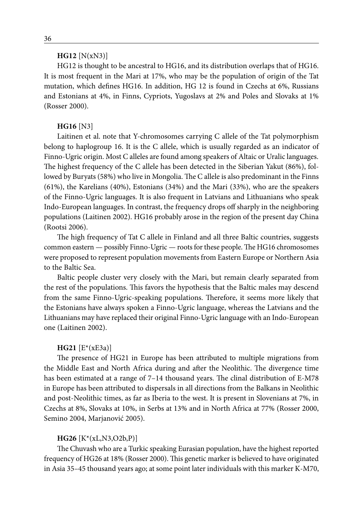#### **HG12** [N(xN3)]

HG12 is thought to be ancestral to HG16, and its distribution overlaps that of HG16. It is most frequent in the Mari at 17%, who may be the population of origin of the Tat mutation, which defines HG16. In addition, HG 12 is found in Czechs at 6%, Russians and Estonians at 4%, in Finns, Cypriots, Yugoslavs at 2% and Poles and Slovaks at 1% (Rosser 2000).

#### **HG16** [N3]

Laitinen et al. note that Y-chromosomes carrying C allele of the Tat polymorphism belong to haplogroup 16. It is the C allele, which is usually regarded as an indicator of Finno-Ugric origin. Most C alleles are found among speakers of Altaic or Uralic languages. The highest frequency of the C allele has been detected in the Siberian Yakut (86%), followed by Buryats (58%) who live in Mongolia. The C allele is also predominant in the Finns (61%), the Karelians (40%), Estonians (34%) and the Mari (33%), who are the speakers of the Finno-Ugric languages. It is also frequent in Latvians and Lithuanians who speak Indo-European languages. In contrast, the frequency drops off sharply in the neighboring populations (Laitinen 2002). HG16 probably arose in the region of the present day China (Rootsi 2006).

The high frequency of Tat C allele in Finland and all three Baltic countries, suggests common eastern — possibly Finno-Ugric — roots for these people. The HG16 chromosomes were proposed to represent population movements from Eastern Europe or Northern Asia to the Baltic Sea.

Baltic people cluster very closely with the Mari, but remain clearly separated from the rest of the populations. This favors the hypothesis that the Baltic males may descend from the same Finno-Ugric-speaking populations. Therefore, it seems more likely that the Estonians have always spoken a Finno-Ugric language, whereas the Latvians and the Lithuanians may have replaced their original Finno-Ugric language with an Indo-European one (Laitinen 2002).

#### **HG21** [E\*(xE3a)]

The presence of HG21 in Europe has been attributed to multiple migrations from the Middle East and North Africa during and after the Neolithic. The divergence time has been estimated at a range of 7-14 thousand years. The clinal distribution of E-M78 in Europe has been attributed to dispersals in all directions from the Balkans in Neolithic and post-Neolithic times, as far as Iberia to the west. It is present in Slovenians at 7%, in Czechs at 8%, Slovaks at 10%, in Serbs at 13% and in North Africa at 77% (Rosser 2000, Semino 2004, Marjanović 2005).

#### **HG26** [K\*(xL,N3,O2b,P)]

The Chuvash who are a Turkic speaking Eurasian population, have the highest reported frequency of HG26 at 18% (Rosser 2000). This genetic marker is believed to have originated in Asia 35–45 thousand years ago; at some point later individuals with this marker K-M70,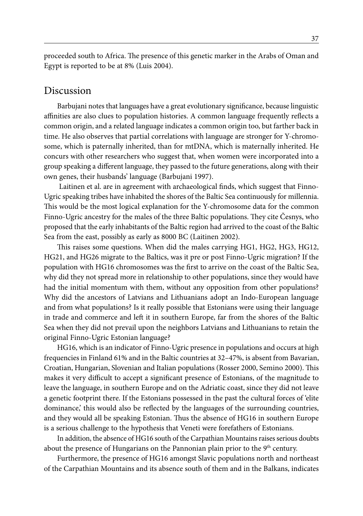proceeded south to Africa. The presence of this genetic marker in the Arabs of Oman and Egypt is reported to be at 8% (Luis 2004).

### Discussion

Barbujani notes that languages have a great evolutionary significance, because linguistic affinities are also clues to population histories. A common language frequently reflects a common origin, and a related language indicates a common origin too, but farther back in time. He also observes that partial correlations with language are stronger for Y-chromosome, which is paternally inherited, than for mtDNA, which is maternally inherited. He concurs with other researchers who suggest that, when women were incorporated into a group speaking a different language, they passed to the future generations, along with their own genes, their husbands' language (Barbujani 1997).

 Laitinen et al. are in agreement with archaeological finds, which suggest that Finno-Ugric speaking tribes have inhabited the shores of the Baltic Sea continuously for millennia. This would be the most logical explanation for the Y-chromosome data for the common Finno-Ugric ancestry for the males of the three Baltic populations. They cite Česnys, who proposed that the early inhabitants of the Baltic region had arrived to the coast of the Baltic Sea from the east, possibly as early as 8000 BC (Laitinen 2002).

This raises some questions. When did the males carrying HG1, HG2, HG3, HG12, HG21, and HG26 migrate to the Baltics, was it pre or post Finno-Ugric migration? If the population with HG16 chromosomes was the first to arrive on the coast of the Baltic Sea, why did they not spread more in relationship to other populations, since they would have had the initial momentum with them, without any opposition from other populations? Why did the ancestors of Latvians and Lithuanians adopt an Indo-European language and from what populations? Is it really possible that Estonians were using their language in trade and commerce and left it in southern Europe, far from the shores of the Baltic Sea when they did not prevail upon the neighbors Latvians and Lithuanians to retain the original Finno-Ugric Estonian language?

HG16, which is an indicator of Finno-Ugric presence in populations and occurs at high frequencies in Finland 61% and in the Baltic countries at 32–47%, is absent from Bavarian, Croatian, Hungarian, Slovenian and Italian populations (Rosser 2000, Semino 2000). This makes it very difficult to accept a significant presence of Estonians, of the magnitude to leave the language, in southern Europe and on the Adriatic coast, since they did not leave a genetic footprint there. If the Estonians possessed in the past the cultural forces of 'elite dominance,' this would also be reflected by the languages of the surrounding countries, and they would all be speaking Estonian. Thus the absence of HG16 in southern Europe is a serious challenge to the hypothesis that Veneti were forefathers of Estonians.

In addition, the absence of HG16 south of the Carpathian Mountains raises serious doubts about the presence of Hungarians on the Pannonian plain prior to the 9<sup>th</sup> century.

Furthermore, the presence of HG16 amongst Slavic populations north and northeast of the Carpathian Mountains and its absence south of them and in the Balkans, indicates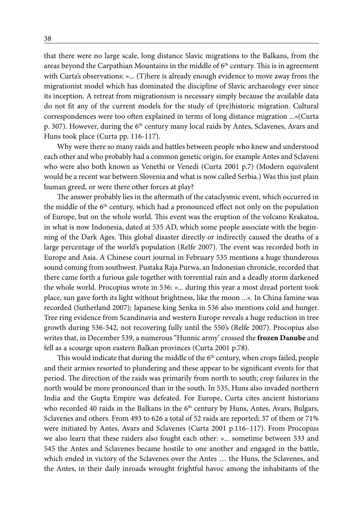that there were no large scale, long distance Slavic migrations to the Balkans, from the areas beyond the Carpathian Mountains in the middle of  $6<sup>th</sup>$  century. This is in agreement with Curta's observations: »... (T)here is already enough evidence to move away from the migrationist model which has dominated the discipline of Slavic archaeology ever since its inception. A retreat from migrationism is necessary simply because the available data do not fit any of the current models for the study of (pre)historic migration. Cultural correspondences were too often explained in terms of long distance migration ...«(Curta p. 307). However, during the 6<sup>th</sup> century many local raids by Antes, Sclavenes, Avars and Huns took place (Curta pp. 116-117).

Why were there so many raids and battles between people who knew and understood each other and who probably had a common genetic origin, for example Antes and Sclaveni who were also both known as Venethi or Venedi (Curta 2001 p.7) (Modern equivalent would be a recent war between Slovenia and what is now called Serbia.) Was this just plain human greed, or were there other forces at play?

The answer probably lies in the aftermath of the cataclysmic event, which occurred in the middle of the 6<sup>th</sup> century, which had a pronounced effect not only on the population of Europe, but on the whole world. This event was the eruption of the volcano Krakatoa, in what is now Indonesia, dated at 535 AD, which some people associate with the beginning of the Dark Ages. This global disaster directly or indirectly caused the deaths of a large percentage of the world's population (Relfe 2007). The event was recorded both in Europe and Asia. A Chinese court journal in February 535 mentions a huge thunderous sound coming from southwest. Pustaka Raja Purwa, an Indonesian chronicle, recorded that there came forth a furious gale together with torrential rain and a deadly storm darkened the whole world. Procopius wrote in 536: »... during this year a most dread portent took place, sun gave forth its light without brightness, like the moon ...«. In China famine was recorded (Sutherland 2007); Japanese king Senka in 536 also mentions cold and hunger. Tree ring evidence from Scandinavia and western Europe reveals a huge reduction in tree growth during 536-542, not recovering fully until the 550's (Relfe 2007). Procopius also writes that, in December 539, a numerous "Hunnic army' crossed the **frozen Danube** and fell as a scourge upon eastern Balkan provinces (Curta 2001 p.78).

This would indicate that during the middle of the  $6<sup>th</sup>$  century, when crops failed, people and their armies resorted to plundering and these appear to be significant events for that period. The direction of the raids was primarily from north to south; crop failures in the north would be more pronounced than in the south. In 535, Huns also invaded northern India and the Gupta Empire was defeated. For Europe, Curta cites ancient historians who recorded 40 raids in the Balkans in the 6<sup>th</sup> century by Huns, Antes, Avars, Bulgars, Sclavenes and others. From 493 to 626 a total of 52 raids are reported; 37 of them or 71% were initiated by Antes, Avars and Sclavenes (Curta 2001 p.116–117). From Procopius we also learn that these raiders also fought each other: »... sometime between 533 and 545 the Antes and Sclavenes became hostile to one another and engaged in the battle, which ended in victory of the Sclavenes over the Antes … the Huns, the Sclavenes, and the Antes, in their daily inroads wrought frightful havoc among the inhabitants of the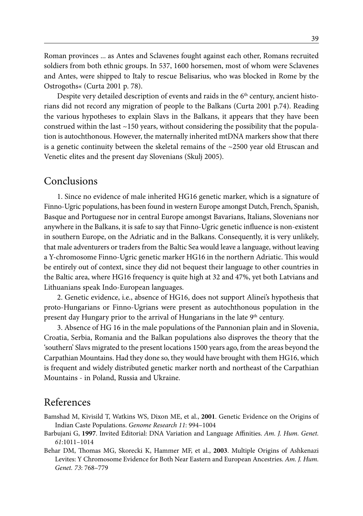Roman provinces ... as Antes and Sclavenes fought against each other, Romans recruited soldiers from both ethnic groups. In 537, 1600 horsemen, most of whom were Sclavenes and Antes, were shipped to Italy to rescue Belisarius, who was blocked in Rome by the Ostrogoths« (Curta 2001 p. 78).

Despite very detailed description of events and raids in the  $6<sup>th</sup>$  century, ancient historians did not record any migration of people to the Balkans (Curta 2001 p.74). Reading the various hypotheses to explain Slavs in the Balkans, it appears that they have been construed within the last ~150 years, without considering the possibility that the population is autochthonous. However, the maternally inherited mtDNA markers show that there is a genetic continuity between the skeletal remains of the  $\sim$ 2500 year old Etruscan and Venetic elites and the present day Slovenians (Skulj 2005).

### Conclusions

1. Since no evidence of male inherited HG16 genetic marker, which is a signature of Finno-Ugric populations, has been found in western Europe amongst Dutch, French, Spanish, Basque and Portuguese nor in central Europe amongst Bavarians, Italians, Slovenians nor anywhere in the Balkans, it is safe to say that Finno-Ugric genetic influence is non-existent in southern Europe, on the Adriatic and in the Balkans. Consequently, it is very unlikely, that male adventurers or traders from the Baltic Sea would leave a language, without leaving a Y-chromosome Finno-Ugric genetic marker HG16 in the northern Adriatic. This would be entirely out of context, since they did not bequest their language to other countries in the Baltic area, where HG16 frequency is quite high at 32 and 47%, yet both Latvians and Lithuanians speak Indo-European languages.

2. Genetic evidence, i.e., absence of HG16, does not support Alinei's hypothesis that proto-Hungarians or Finno-Ugrians were present as autochthonous population in the present day Hungary prior to the arrival of Hungarians in the late 9<sup>th</sup> century.

3. Absence of HG 16 in the male populations of the Pannonian plain and in Slovenia, Croatia, Serbia, Romania and the Balkan populations also disproves the theory that the 'southern' Slavs migrated to the present locations 1500 years ago, from the areas beyond the Carpathian Mountains. Had they done so, they would have brought with them HG16, which is frequent and widely distributed genetic marker north and northeast of the Carpathian Mountains - in Poland, Russia and Ukraine.

### References

- Bamshad M, Kivisild T, Watkins WS, Dixon ME, et al., **2001**. Genetic Evidence on the Origins of Indian Caste Populations. *Genome Research 11*: 994–1004
- Barbujani G, **1997**. Invited Editorial: DNA Variation and Language Affinities. *Am. J. Hum. Genet. 61*:1011–1014
- Behar DM, Thomas MG, Skorecki K, Hammer MF, et al., **2003**. Multiple Origins of Ashkenazi Levites: Y Chromosome Evidence for Both Near Eastern and European Ancestries. *Am. J. Hum. Genet. 73*: 768–779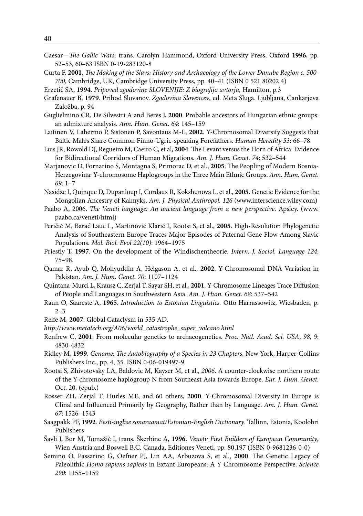- Caesar—*The Gallic Wars,* trans. Carolyn Hammond, Oxford University Press, Oxford **1996**, pp. 52–53, 60–63 ISBN 0-19-283120-8
- Curta F, **2001**. *The Making of the Slavs: History and Archaeology of the Lower Danube Region c. 500- 700*, Cambridge, UK, Cambridge University Press, pp. 40–41 (ISBN 0 521 80202 4)
- Erzetič SA, **1994**. *Pripoved zgodovine SLOVENIJE: Z biografijo avtorja,* Hamilton, p.3
- Grafenauer B, **1979**. Prihod Slovanov. *Zgodovina Slovencev*, ed. Meta Sluga. Ljubljana, Cankarjeva Založba, p. 94
- Guglielmino CR, De Silvestri A and Beres J, **2000**. Probable ancestors of Hungarian ethnic groups: an admixture analysis. *Ann. Hum. Genet. 64*: 145–159
- Laitinen V, Lahermo P, Sistonen P, Savontaus M-L, **2002**. Y-Chromosomal Diversity Suggests that Baltic Males Share Common Finno-Ugric-speaking Forefathers. *Human Heredity 53*: 66–78
- Luis JR, Rowold DJ, Regueiro M, Caeiro C, et al, **2004**. The Levant versus the Horn of Africa: Evidence for Bidirectional Corridors of Human Migrations. *Am. J. Hum. Genet. 74*: 532–544
- Marjanovic D, Fornarino S, Montagna S, Primorac D, et al., **2005**. The Peopling of Modern Bosnia-Herzegovina: Y-chromosome Haplogroups in the Three Main Ethnic Groups. *Ann. Hum. Genet. 69*: 1–7
- Nasidze I, Quinque D, Dupanloup I, Cordaux R, Kokshunova L, et al., **2005**. Genetic Evidence for the Mongolian Ancestry of Kalmyks. *Am. J. Physical Anthropol. 126* (www.interscience.wiley.com)
- Paabo A, 2006. *The Veneti language: An ancient language from a new perspective*. Apsley. (www. paabo.ca/veneti/html)
- Peričić M, Barać Lauc L, Martinović Klarić I, Rootsi S, et al., **2005**. High-Resolution Phylogenetic Analysis of Southeastern Europe Traces Major Episodes of Paternal Gene Flow Among Slavic Populations. *Mol. Biol. Evol 22(10)*: 1964–1975
- Priestly T, **1997**. On the development of the Windischentheorie. *Intern. J. Sociol. Language 124*: 75–98.
- Qamar R, Ayub Q, Mohyuddin A, Helgason A, et al., **2002**. Y-Chromosomal DNA Variation in Pakistan. *Am. J. Hum. Genet. 70*: 1107*–*1124
- Quintana-Murci L, Krausz C, Zerjal T, Sayar SH, et al., **2001**. Y-Chromosome Lineages Trace Diffusion of People and Languages in Southwestern Asia. *Am. J. Hum. Genet. 68*: 537–542
- Raun O, Saareste A, **1965**. *Introduction to Estonian Linguistics.* Otto Harrassowitz, Wiesbaden, p. 2–3
- Relfe M, **2007**. Global Cataclysm in 535 AD.
- *http://www.metatech.org/A06/world\_catastrophe\_super\_volcano.html*
- Renfrew C, **2001**. From molecular genetics to archaeogenetics. *Proc. Natl. Acad. Sci. USA*, *98, 9*: 4830-4832
- Ridley M, **1999**. *Genome: The Autobiography of a Species in 23 Chapters,* New York, Harper-Collins Publishers Inc., pp. 4, 35. ISBN 0-06-019497-9
- Rootsi S, Zhivotovsky LA, Baldovic M, Kayser M, et al., *2006*. A counter-clockwise northern route of the Y-chromosome haplogroup N from Southeast Asia towards Europe. *Eur. J. Hum. Genet.* Oct. 20. (epub.)
- Rosser ZH, Zerjal T, Hurles ME, and 60 others, **2000**. Y-Chromosomal Diversity in Europe is Clinal and Influenced Primarily by Geography, Rather than by Language. *Am. J. Hum. Genet. 67*: 1526–1543
- Saagpakk PF, **1992**. *Eesti-inglise sonaraamat/Estonian-English Dictionary*. Tallinn, Estonia, Koolobri Publishers
- Šavli J, Bor M, Tomažič I, trans. Škerbinc A, **1996**. *Veneti: First Builders of European Community*, Wien Austria and Boswell B.C. Canada, Editiones Veneti, pp. 80,197 (ISBN 0-9681236-0-0)
- Semino O, Passarino G, Oefner PJ, Lin AA, Arbuzova S, et al., **2000**. The Genetic Legacy of Paleolithic *Homo sapiens sapiens* in Extant Europeans: A Y Chromosome Perspective. *Science 290*: 1155–1159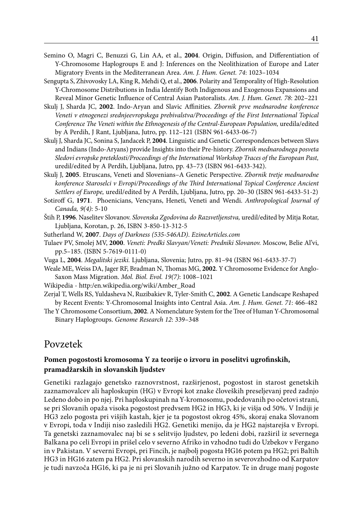- Semino O, Magri C, Benuzzi G, Lin AA, et al., **2004**. Origin, Diffusion, and Differentiation of Y-Chromosome Haplogroups E and J: Inferences on the Neolithization of Europe and Later Migratory Events in the Mediterranean Area. *Am. J. Hum. Genet. 74*: 1023–1034
- Sengupta S, Zhivovosky LA, King R, Mehdi Q, et al., **2006**. Polarity and Temporality of High-Resolution Y-Chromosome Distributions in India Identify Both Indigenous and Exogenous Expansions and Reveal Minor Genetic Influence of Central Asian Pastoralists. *Am. J. Hum. Genet. 78*: 202–221
- Skulj J, Sharda JC, **2002**. Indo-Aryan and Slavic Affinities. *Zbornik prve mednarodne konference Veneti v etnogenezi srednjeevropskega prebivalstva/Proceedings of the First International Topical Conference The Veneti within the Ethnogenesis of the Central-European Population,* uredila/edited by A Perdih, J Rant, Ljubljana, Jutro, pp. 112–121 (ISBN 961-6433-06-7)
- Skulj J, Sharda JC, Sonina S, Jandacek P, **2004**. Linguistic and Genetic Correspondences between Slavs and Indians (Indo-Aryans) provide Insights into their Pre-history. *Zbornik mednarodnega posveta Sledovi evropske preteklosti/Proceedings of the International Workshop Traces of the European Past,* uredil/edited by A Perdih, Ljubljana, Jutro, pp. 43–73 (ISBN 961-6433-342).
- Skulj J, **2005**. Etruscans, Veneti and Slovenians–A Genetic Perspective. *Zbornik tretje mednarodne konference Staroselci v Evropi/Proceedings of the Third International Topical Conference Ancient Settlers of Europe,* uredil/edited by A Perdih, Ljubljana, Jutro, pp. 20–30 (ISBN 961-6433-51-2)
- Sotiroff G, **1971**. Phoenicians, Vencyans, Heneti, Veneti and Wendi. *Anthropological Journal of Canada, 9(4)*: 5-10
- Štih P, **1996**. Naselitev Slovanov. *Slovenska Zgodovina do Razsvetljenstva,* uredil/edited by Mitja Rotar, Ljubljana, Korotan, p. 26, ISBN 3-850-13-312-5
- Sutherland W, **2007**. *Days of Darkness (535-546AD)*. *EzineArticles.com*
- Tulaev PV, Smolej MV, **2000**. *Veneti: Predki Slavyan/Veneti: Predniki Slovanov.* Moscow, Belie Al'vi, pp.5–185. (ISBN 5-7619-0111-0)
- Vuga L, **2004**. *Megalitski jeziki.* Ljubljana, Slovenia; Jutro, pp. 81–94 (ISBN 961-6433-37-7)
- Weale ME, Weiss DA, Jager RF, Bradman N, Thomas MG, **2002**. Y Chromosome Evidence for Anglo-Saxon Mass Migration. *Mol. Biol. Evol. 19(7)*: 1008–1021
- Wikipedia http:/en.wikipedia.org/wiki/Amber\_Road
- Zerjal T, Wells RS, Yuldasheva N, Ruzibakiev R, Tyler-Smith C, **2002**. A Genetic Landscape Reshaped by Recent Events: Y-Chromosomal Insights into Central Asia. *Am. J. Hum. Genet. 71*: 466-482
- The Y Chromosome Consortium, **2002**. A Nomenclature System for the Tree of Human Y-Chromosomal Binary Haplogroups. *Genome Research 12*: 339–348

### Povzetek

### **Pomen pogostosti kromosoma Y za teorije o izvoru in poselitvi ugrofinskih, pramadžarskih in slovanskih ljudstev**

Genetiki razlagajo genetsko raznovrstnost, razširjenost, pogostost in starost genetskih zaznamovalcev ali haploskupin (HG) v Evropi kot znake človeških preseljevanj pred zadnjo Ledeno dobo in po njej. Pri haploskupinah na Y-kromosomu, podedovanih po očetovi strani, se pri Slovanih opaža visoka pogostost predvsem HG2 in HG3, ki je višja od 50%. V Indiji je HG3 zelo pogosta pri višjih kastah, kjer je ta pogostost okrog 45%, skoraj enaka Slovanom v Evropi, toda v Indiji niso zasledili HG2. Genetiki menijo, da je HG2 najstarejša v Evropi. Ta genetski zaznamovalec naj bi se s selitvijo ljudstev, po ledeni dobi, razširil iz severnega Balkana po celi Evropi in prišel celo v severno Afriko in vzhodno tudi do Uzbekov v Fergano in v Pakistan. V severni Evropi, pri Fincih, je najbolj pogosta HG16 potem pa HG2; pri Baltih HG3 in HG16 zatem pa HG2. Pri slovanskih narodih severno in severovzhodno od Karpatov je tudi navzoča HG16, ki pa je ni pri Slovanih južno od Karpatov. Te in druge manj pogoste